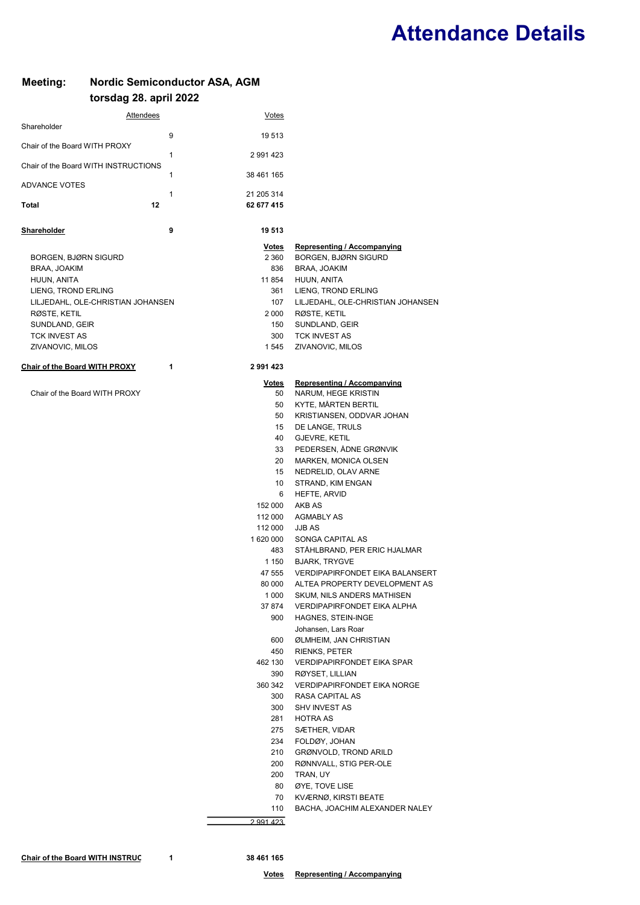# Attendance Details

## Meeting: Nordic Semiconductor ASA, AGM torsdag 28. april 2022

| Attendees                            |                   | <u>Votes</u>        |                                                            |
|--------------------------------------|-------------------|---------------------|------------------------------------------------------------|
| Shareholder                          |                   |                     |                                                            |
| Chair of the Board WITH PROXY        | 9<br>$\mathbf{1}$ | 19 513<br>2 991 423 |                                                            |
| Chair of the Board WITH INSTRUCTIONS | $\mathbf{1}$      | 38 461 165          |                                                            |
| ADVANCE VOTES                        | 1                 | 21 205 314          |                                                            |
| 12<br>Total                          |                   | 62 677 415          |                                                            |
| Shareholder                          | 9                 | 19 513              |                                                            |
| BORGEN, BJØRN SIGURD                 |                   | Votes<br>2 3 6 0    | Representing / Accompanying<br><b>BORGEN, BJØRN SIGURD</b> |
| BRAA, JOAKIM                         |                   | 836                 | BRAA, JOAKIM                                               |
| HUUN, ANITA                          |                   | 11 854              | HUUN, ANITA                                                |
| LIENG, TROND ERLING                  |                   | 361                 | LIENG, TROND ERLING                                        |
| LILJEDAHL, OLE-CHRISTIAN JOHANSEN    |                   | 107                 | LILJEDAHL, OLE-CHRISTIAN JOHANSEN                          |
| RØSTE, KETIL                         |                   | 2 000               | RØSTE, KETIL                                               |
| SUNDLAND, GEIR                       |                   | 150                 | SUNDLAND, GEIR                                             |
| <b>TCK INVEST AS</b>                 |                   | 300                 | <b>TCK INVEST AS</b>                                       |
| ZIVANOVIC, MILOS                     |                   | 1 545               | ZIVANOVIC, MILOS                                           |
| <b>Chair of the Board WITH PROXY</b> | 1                 | 2 991 423           |                                                            |
| Chair of the Board WITH PROXY        |                   | <u>Votes</u>        | <b>Representing / Accompanying</b>                         |
|                                      |                   | 50<br>50            | NARUM, HEGE KRISTIN                                        |
|                                      |                   | 50                  | KYTE, MARTEN BERTIL<br>KRISTIANSEN, ODDVAR JOHAN           |
|                                      |                   | 15                  | DE LANGE, TRULS                                            |
|                                      |                   | 40                  | GJEVRE, KETIL                                              |
|                                      |                   | 33                  | PEDERSEN, ADNE GRØNVIK                                     |
|                                      |                   | 20                  | MARKEN, MONICA OLSEN                                       |
|                                      |                   | 15                  | NEDRELID, OLAV ARNE                                        |
|                                      |                   | 10                  | STRAND, KIM ENGAN                                          |
|                                      |                   | 6                   | HEFTE, ARVID                                               |
|                                      |                   | 152 000             | AKB AS                                                     |
|                                      |                   | 112 000             | AGMABLY AS                                                 |
|                                      |                   | 112 000             | <b>JJB AS</b>                                              |
|                                      |                   | 1 620 000           | SONGA CAPITAL AS                                           |
|                                      |                   | 483                 | STÅHLBRAND, PER ERIC HJALMAR                               |
|                                      |                   | 1 150               | <b>BJARK, TRYGVE</b>                                       |
|                                      |                   | 47 555              | <b>VERDIPAPIRFONDET EIKA BALANSERT</b>                     |
|                                      |                   | 80 000              | ALTEA PROPERTY DEVELOPMENT AS                              |
|                                      |                   | 1 0 0 0             | SKUM, NILS ANDERS MATHISEN                                 |
|                                      |                   | 37 874              | VERDIPAPIRFONDET EIKA ALPHA                                |
|                                      |                   | 900                 | HAGNES, STEIN-INGE                                         |
|                                      |                   |                     | Johansen, Lars Roar                                        |
|                                      |                   | 600                 | ØLMHEIM, JAN CHRISTIAN                                     |
|                                      |                   | 450                 | RIENKS, PETER                                              |
|                                      |                   | 462 130             | <b>VERDIPAPIRFONDET EIKA SPAR</b>                          |
|                                      |                   | 390                 | RØYSET, LILLIAN                                            |
|                                      |                   | 360 342             | VERDIPAPIRFONDET EIKA NORGE                                |
|                                      |                   | 300                 | RASA CAPITAL AS                                            |
|                                      |                   | 300                 | SHV INVEST AS                                              |
|                                      |                   | 281                 | HOTRA AS                                                   |
|                                      |                   | 275                 | SÆTHER, VIDAR                                              |
|                                      |                   | 234                 | FOLDØY, JOHAN                                              |
|                                      |                   | 210                 | GRØNVOLD, TROND ARILD                                      |
|                                      |                   | 200                 | RØNNVALL, STIG PER-OLE                                     |
|                                      |                   | 200                 | TRAN, UY                                                   |
|                                      |                   | 80                  | ØYE, TOVE LISE                                             |
|                                      |                   | 70                  | KVÆRNØ, KIRSTI BEATE                                       |
|                                      |                   | 110                 | BACHA, JOACHIM ALEXANDER NALEY                             |
|                                      |                   | 2991423             |                                                            |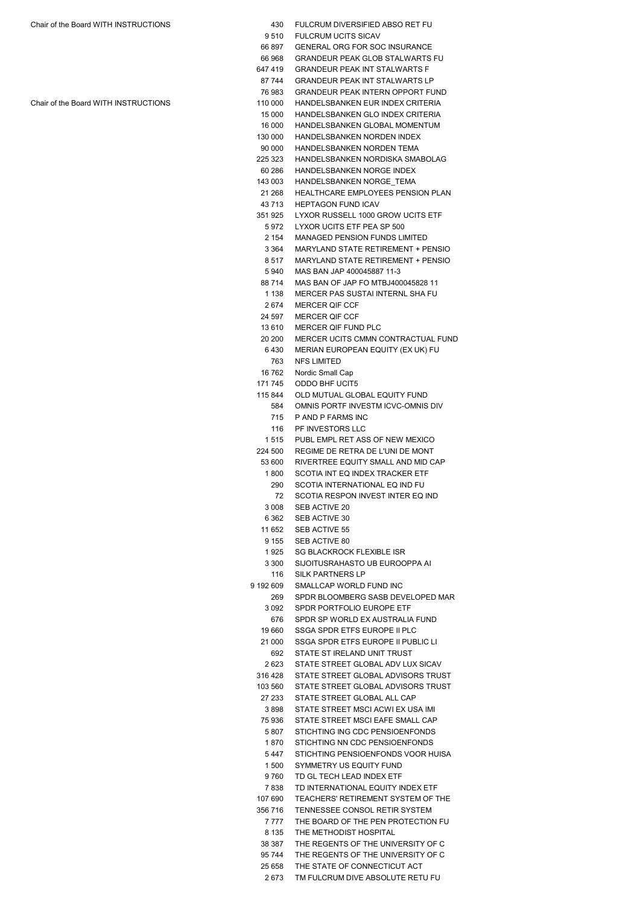95 744 THE REGENTS OF THE UNIVERSITY OF C 25 658 THE STATE OF CONNECTICUT ACT 2 673 TM FULCRUM DIVE ABSOLUTE RETU FU 7 777 THE BOARD OF THE PEN PROTECTION FU 8 135 THE METHODIST HOSPITAL 38 387 THE REGENTS OF THE UNIVERSITY OF C 7 838 TD INTERNATIONAL EQUITY INDEX ETF 107 690 TEACHERS' RETIREMENT SYSTEM OF THE 356 716 TENNESSEE CONSOL RETIR SYSTEM 5 447 STICHTING PENSIOENFONDS VOOR HUISA 1 500 SYMMETRY US EQUITY FUND 9 760 TD GL TECH LEAD INDEX ETE 75 936 STATE STREET MSCI EAFE SMALL CAP 5 807 STICHTING ING CDC PENSIOENFONDS 1 870 STICHTING NN CDC PENSIOENFONDS 103 560 STATE STREET GLOBAL ADVISORS TRUST 27 233 STATE STREET GLOBAL ALL CAP 3 898 STATE STREET MSCI ACWI EX USA IMI 692 STATE ST IRELAND UNIT TRUST 2 623 STATE STREET GLOBAL ADV LUX SICAV 316 428 STATE STREET GLOBAL ADVISORS TRUST 676 SPDR SP WORLD EX AUSTRALIA FUND 19 660 SSGA SPDR ETFS EUROPE II PLC 21 000 SSGA SPDR ETFS EUROPE II PUBLIC LI 9 192 609 SMALLCAP WORLD FUND INC 269 SPDR BLOOMBERG SASB DEVELOPED MAR 3 092 SPDR PORTFOLIO EUROPE ETF 1 925 SG BLACKROCK FLEXIBLE ISR 3 300 SIJOITUSRAHASTO UB EUROOPPA AI 116 SILK PARTNERS LP 6 362 SEB ACTIVE 30 11 652 SEB ACTIVE 55 9 155 SEB ACTIVE 80 290 SCOTIA INTERNATIONAL EQ IND FU 72 SCOTIA RESPON INVEST INTER EQ IND 3 008 SEB ACTIVE 20 224 500 REGIME DE RETRA DE L'UNI DE MONT 53 600 RIVERTREE EQUITY SMALL AND MID CAP 1 800 SCOTIA INT EQ INDEX TRACKER ETF 715 P AND P FARMS INC 116 PF INVESTORS LLC 1 515 PUBL EMPL RET ASS OF NEW MEXICO 171 745 ODDO BHF UCIT5 115 844 OLD MUTUAL GLOBAL EQUITY FUND 584 OMNIS PORTF INVESTM ICVC-OMNIS DIV 6 430 MERIAN EUROPEAN EQUITY (EX UK) FU 763 NFS LIMITED 16 762 Nordic Small Cap 24 597 MERCER QIF CCF 13 610 MERCER QIF FUND PLC 20 200 MERCER UCITS CMMN CONTRACTUAL FUND 88 714 MAS BAN OF JAP FO MTBJ400045828 11 1 138 MERCER PAS SUSTAI INTERNL SHA FU 2 674 MERCER QIF CCF 3 364 MARYLAND STATE RETIREMENT + PENSIO 8 517 MARYLAND STATE RETIREMENT + PENSIO 5 940 MAS BAN JAP 400045887 11-3 351 925 LYXOR RUSSELL 1000 GROW UCITS ETF 5 972 LYXOR UCITS ETF PEA SP 500 2 154 MANAGED PENSION FUNDS LIMITED 143 003 HANDELSBANKEN NORGE TEMA 21 268 HEALTHCARE EMPLOYEES PENSION PLAN 43 713 HEPTAGON FUND ICAV 90 000 HANDELSBANKEN NORDEN TEMA 225 323 HANDELSBANKEN NORDISKA SMABOLAG 60 286 HANDELSBANKEN NORGE INDEX 15 000 HANDELSBANKEN GLO INDEX CRITERIA 16 000 HANDELSBANKEN GLOBAL MOMENTUM 130 000 HANDELSBANKEN NORDEN INDEX 87 744 GRANDEUR PEAK INT STALWARTS LP 76 983 GRANDEUR PEAK INTERN OPPORT FUND Chair of the Board WITH INSTRUCTIONS 110 000 HANDELSBANKEN EUR INDEX CRITERIA 66 897 GENERAL ORG FOR SOC INSURANCE 66 968 GRANDEUR PEAK GLOB STALWARTS FU 647 419 GRANDEUR PEAK INT STALWARTS F Chair of the Board WITH INSTRUCTIONS 430 FULCRUM DIVERSIFIED ABSO RET FU 9 510 FULCRUM UCITS SICAV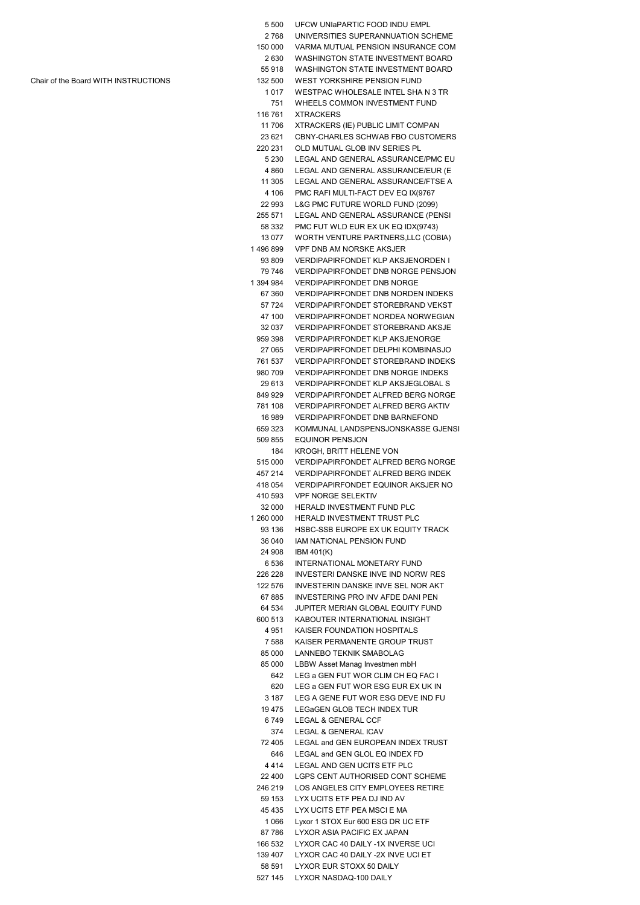58 591 LYXOR EUR STOXX 50 DAILY 527 145 LYXOR NASDAQ-100 DAILY 87 786 LYXOR ASIA PACIFIC EX JAPAN 166 532 LYXOR CAC 40 DAILY -1X INVERSE UCI 139 407 LYXOR CAC 40 DAILY -2X INVE UCI ET 59 153 LYX UCITS ETF PEA DJ IND AV 45 435 LYX UCITS ETF PEA MSCI E MA 1 066 Lyxor 1 STOX Eur 600 ESG DR UC ETF 4 414 LEGAL AND GEN UCITS ETF PLC 22 400 LGPS CENT AUTHORISED CONT SCHEME 246 219 LOS ANGELES CITY EMPLOYEES RETIRE 374 LEGAL & GENERAL ICAV 72 405 LEGAL and GEN EUROPEAN INDEX TRUST 646 LEGAL and GEN GLOL EQ INDEX FD 3 187 LEG A GENE FUT WOR ESG DEVE IND FU 19 475 LEGaGEN GLOB TECH INDEX TUR 6 749 LEGAL & GENERAL CCF 85 000 LBBW Asset Manag Investmen mbH 642 LEG a GEN FUT WOR CLIM CH EQ FAC I 620 LEG a GEN FUT WOR ESG EUR EX UK IN 4 951 KAISER FOUNDATION HOSPITALS 7 588 KAISER PERMANENTE GROUP TRUST 85 000 LANNEBO TEKNIK SMABOLAG 67 885 INVESTERING PRO INV AFDE DANI PEN 64 534 JUPITER MERIAN GLOBAL EQUITY FUND 600 513 KABOUTER INTERNATIONAL INSIGHT 6 536 INTERNATIONAL MONETARY FUND 226 228 INVESTERI DANSKE INVE IND NORW RES 122 576 INVESTERIN DANSKE INVE SEL NOR AKT 93 136 HSBC-SSB EUROPE EX UK EQUITY TRACK 36 040 IAM NATIONAL PENSION FUND 24 908 IBM 401(K) 410 593 VPF NORGE SELEKTIV 32 000 HERALD INVESTMENT FUND PLC 1 260 000 HERALD INVESTMENT TRUST PLC 515 000 VERDIPAPIRFONDET ALFRED BERG NORGE 457 214 VERDIPAPIRFONDET ALFRED BERG INDEK 418 054 VERDIPAPIRFONDET EQUINOR AKSJER NO 659 323 KOMMUNAL LANDSPENSJONSKASSE GJENSI 509 855 EQUINOR PENSJON 184 KROGH, BRITT HELENE VON 849 929 VERDIPAPIRFONDET ALFRED BERG NORGE 781 108 VERDIPAPIRFONDET ALFRED BERG AKTIV 16 989 VERDIPAPIRFONDET DNB BARNEFOND 761 537 VERDIPAPIRFONDET STOREBRAND INDEKS 980 709 VERDIPAPIRFONDET DNB NORGE INDEKS 29 613 VERDIPAPIRFONDET KLP AKSJEGLOBAL S 32 037 VERDIPAPIRFONDET STOREBRAND AKSJE 959 398 VERDIPAPIRFONDET KLP AKSJENORGE 27 065 VERDIPAPIRFONDET DELPHI KOMBINASJO 67 360 VERDIPAPIRFONDET DNB NORDEN INDEKS 57 724 VERDIPAPIRFONDET STOREBRAND VEKST 47 100 VERDIPAPIRFONDET NORDEA NORWEGIAN 93 809 VERDIPAPIRFONDET KLP AKSJENORDEN I 79 746 VERDIPAPIRFONDET DNB NORGE PENSJON 1 394 984 VERDIPAPIRFONDET DNB NORGE 58 332 PMC FUT WLD EUR EX UK EQ IDX(9743) 13 077 WORTH VENTURE PARTNERS,LLC (COBIA) 1 496 899 VPF DNB AM NORSKE AKSJER 4 106 PMC RAFI MULTI-FACT DEV EQ IX(9767 22 993 L&G PMC FUTURE WORLD FUND (2099) 255 571 LEGAL AND GENERAL ASSURANCE (PENSI 5 230 LEGAL AND GENERAL ASSURANCE/PMC EU 4 860 LEGAL AND GENERAL ASSURANCE/EUR (E 11 305 LEGAL AND GENERAL ASSURANCE/FTSE A 11 706 XTRACKERS (IE) PUBLIC LIMIT COMPAN 23 621 CBNY-CHARLES SCHWAB FBO CUSTOMERS 220 231 OLD MUTUAL GLOB INV SERIES PL 1 017 WESTPAC WHOLESALE INTEL SHA N 3 TR 751 WHEELS COMMON INVESTMENT FUND 116 761 XTRACKERS 2 630 WASHINGTON STATE INVESTMENT BOARD 55 918 WASHINGTON STATE INVESTMENT BOARD Chair of the Board WITH INSTRUCTIONS 132 500 WEST YORKSHIRE PENSION FUND 5 500 UFCW UNIaPARTIC FOOD INDU EMPL 2 768 UNIVERSITIES SUPERANNUATION SCHEME 150 000 VARMA MUTUAL PENSION INSURANCE COM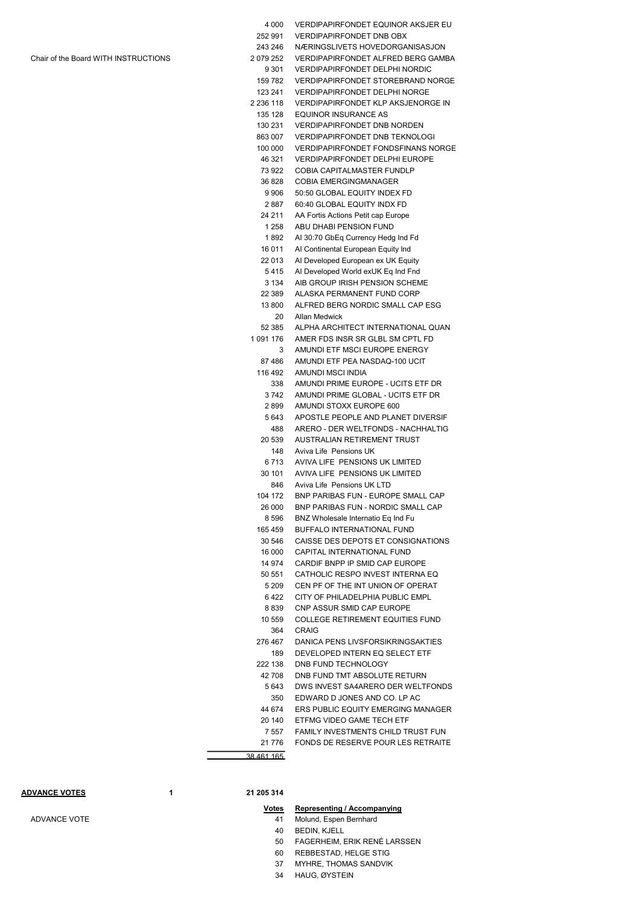Chair of the Board WITH INSTRUCTIONS 2

| 4 0 0 0         | VERDIPAPIRFONDET EQUINOR AKSJER EU                                  |
|-----------------|---------------------------------------------------------------------|
| 252 991         | <b>VERDIPAPIRFONDET DNB OBX</b>                                     |
| 243 246         | NÆRINGSLIVETS HOVEDORGANISASJON                                     |
| 2079252         | VERDIPAPIRFONDET ALFRED BERG GAMBA                                  |
| 9 3 0 1         | VERDIPAPIRFONDET DELPHI NORDIC                                      |
| 159 782         | <b>VERDIPAPIRFONDET STOREBRAND NORGE</b>                            |
| 123 241         | <b>VERDIPAPIRFONDET DELPHI NORGE</b>                                |
| 2 236 118       | VERDIPAPIRFONDET KLP AKSJENORGE IN                                  |
| 135 128         | EQUINOR INSURANCE AS                                                |
| 130 231         | <b>VERDIPAPIRFONDET DNB NORDEN</b>                                  |
| 863 007         | <b>VERDIPAPIRFONDET DNB TEKNOLOGI</b>                               |
| 100 000         | <b>VERDIPAPIRFONDET FONDSFINANS NORGE</b>                           |
| 46 321          | <b>VERDIPAPIRFONDET DELPHI EUROPE</b>                               |
| 73 922          | COBIA CAPITALMASTER FUNDLP                                          |
| 36 828          | <b>COBIA EMERGINGMANAGER</b>                                        |
| 9 906           | 50:50 GLOBAL EQUITY INDEX FD                                        |
| 2 887           | 60:40 GLOBAL EQUITY INDX FD                                         |
| 24 211          | AA Fortis Actions Petit cap Europe                                  |
| 1 2 5 8         | ABU DHABI PENSION FUND                                              |
| 1892            | AI 30:70 GbEq Currency Hedg Ind Fd                                  |
| 16011           | Al Continental European Equity Ind                                  |
| 22 013          | Al Developed European ex UK Equity                                  |
| 5415            | AI Developed World exUK Eq Ind Fnd                                  |
| 3 1 3 4         | AIB GROUP IRISH PENSION SCHEME                                      |
| 22 3 89         | ALASKA PERMANENT FUND CORP                                          |
| 13 800          | ALFRED BERG NORDIC SMALL CAP ESG                                    |
| 20              | <b>Allan Medwick</b>                                                |
| 52 385          | ALPHA ARCHITECT INTERNATIONAL QUAN                                  |
| 1091176         | AMER FDS INSR SR GLBL SM CPTL FD                                    |
| 3               | AMUNDI ETF MSCI EUROPE ENERGY                                       |
| 87 486          | AMUNDI ETF PEA NASDAQ-100 UCIT                                      |
| 116 492         | AMUNDI MSCI INDIA                                                   |
| 338             | AMUNDI PRIME EUROPE - UCITS ETF DR                                  |
| 3742            | AMUNDI PRIME GLOBAL - UCITS ETF DR                                  |
| 2899            | AMUNDI STOXX EUROPE 600                                             |
| 5643            | APOSTLE PEOPLE AND PLANET DIVERSIF                                  |
| 488             | ARERO - DER WELTFONDS - NACHHALTIG                                  |
| 20 539          | AUSTRALIAN RETIREMENT TRUST                                         |
| 148             | Aviva Life Pensions UK                                              |
| 6713            | AVIVA LIFE PENSIONS UK LIMITED                                      |
| 30 101          | AVIVA LIFE PENSIONS UK LIMITED                                      |
| 846             | Aviva Life Pensions UK LTD                                          |
| 104 172         | BNP PARIBAS FUN - EUROPE SMALL CAP                                  |
| 26 000          | BNP PARIBAS FUN - NORDIC SMALL CAP                                  |
| 8 5 9 6         | BNZ Wholesale Internatio Eq Ind Fu                                  |
| 165 459         | BUFFALO INTERNATIONAL FUND                                          |
| 30 546          | CAISSE DES DEPOTS ET CONSIGNATIONS                                  |
| 16 000          | CAPITAL INTERNATIONAL FUND                                          |
| 14 974          | CARDIF BNPP IP SMID CAP EUROPE                                      |
| 50 551          | CATHOLIC RESPO INVEST INTERNA EQ                                    |
| 5 2 0 9         | CEN PF OF THE INT UNION OF OPERAT                                   |
| 6422            | CITY OF PHILADELPHIA PUBLIC EMPL                                    |
| 8839            | CNP ASSUR SMID CAP EUROPE                                           |
| 10 559          | <b>COLLEGE RETIREMENT EQUITIES FUND</b>                             |
| 364             | CRAIG                                                               |
| 276 467<br>189  | DANICA PENS LIVSFORSIKRINGSAKTIES<br>DEVELOPED INTERN EQ SELECT ETF |
| 222 138         | DNB FUND TECHNOLOGY                                                 |
|                 | DNB FUND TMT ABSOLUTE RETURN                                        |
| 42 708<br>5 643 | DWS INVEST SA4ARERO DER WELTFONDS                                   |
| 350             | EDWARD D JONES AND CO. LP AC                                        |
| 44 674          | ERS PUBLIC EQUITY EMERGING MANAGER                                  |
| 20 140          | ETFMG VIDEO GAME TECH ETF                                           |
| 7 557           | FAMILY INVESTMENTS CHILD TRUST FUN                                  |
| 21 776          | FONDS DE RESERVE POUR LES RETRAITE                                  |
|                 |                                                                     |

### ADVANCE VOTES 1 21 205 314

38 461 165

# Votes Representing / Accompanying ADVANCE VOTE 41 Molund, Espen Bernhard

- 
- 40 BEDIN, KJELL
- 50 FAGERHEIM, ERIK RENÉ LARSSEN
- 60 REBBESTAD, HELGE STIG
- 37 MYHRE, THOMAS SANDVIK
- 34 HAUG, ØYSTEIN